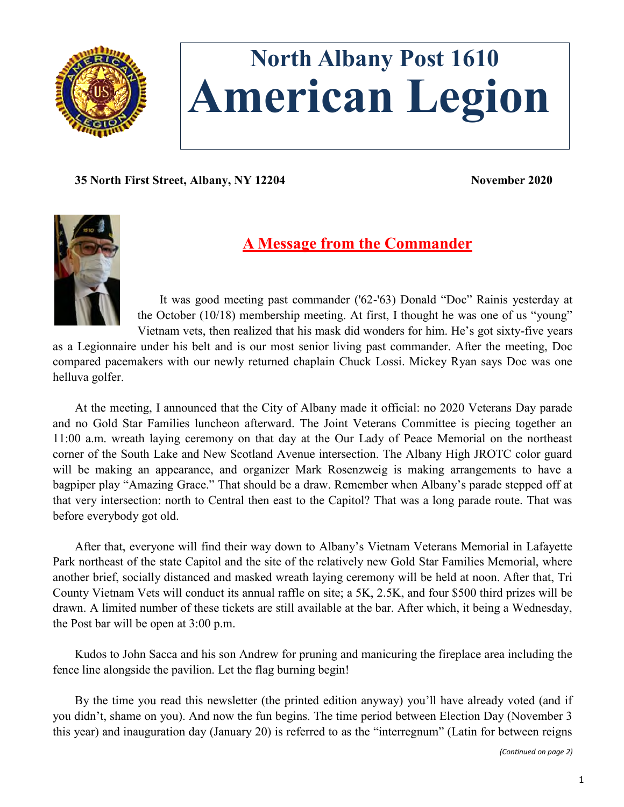

# **North Albany Post 1610 American Legion**

**35 North First Street, Albany, NY 12204 November 2020**



# **A Message from the Commander**

It was good meeting past commander ('62-'63) Donald "Doc" Rainis yesterday at the October (10/18) membership meeting. At first, I thought he was one of us "young" Vietnam vets, then realized that his mask did wonders for him. He's got sixty-five years

as a Legionnaire under his belt and is our most senior living past commander. After the meeting, Doc compared pacemakers with our newly returned chaplain Chuck Lossi. Mickey Ryan says Doc was one helluva golfer.

At the meeting, I announced that the City of Albany made it official: no 2020 Veterans Day parade and no Gold Star Families luncheon afterward. The Joint Veterans Committee is piecing together an 11:00 a.m. wreath laying ceremony on that day at the Our Lady of Peace Memorial on the northeast corner of the South Lake and New Scotland Avenue intersection. The Albany High JROTC color guard will be making an appearance, and organizer Mark Rosenzweig is making arrangements to have a bagpiper play "Amazing Grace." That should be a draw. Remember when Albany's parade stepped off at that very intersection: north to Central then east to the Capitol? That was a long parade route. That was before everybody got old.

After that, everyone will find their way down to Albany's Vietnam Veterans Memorial in Lafayette Park northeast of the state Capitol and the site of the relatively new Gold Star Families Memorial, where another brief, socially distanced and masked wreath laying ceremony will be held at noon. After that, Tri County Vietnam Vets will conduct its annual raffle on site; a 5K, 2.5K, and four \$500 third prizes will be drawn. A limited number of these tickets are still available at the bar. After which, it being a Wednesday, the Post bar will be open at 3:00 p.m.

Kudos to John Sacca and his son Andrew for pruning and manicuring the fireplace area including the fence line alongside the pavilion. Let the flag burning begin!

By the time you read this newsletter (the printed edition anyway) you'll have already voted (and if you didn't, shame on you). And now the fun begins. The time period between Election Day (November 3 this year) and inauguration day (January 20) is referred to as the "interregnum" (Latin for between reigns

*(Continued on page 2)*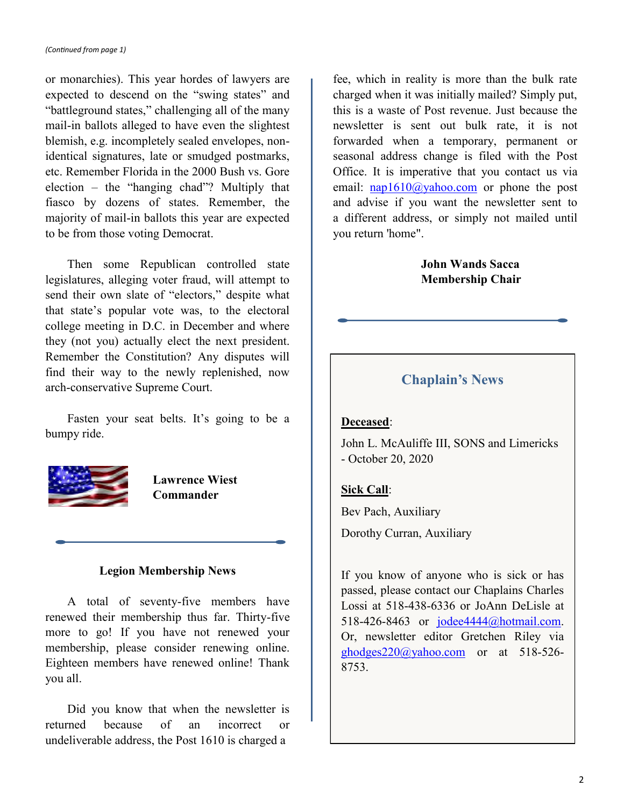or monarchies). This year hordes of lawyers are expected to descend on the "swing states" and "battleground states," challenging all of the many mail-in ballots alleged to have even the slightest blemish, e.g. incompletely sealed envelopes, nonidentical signatures, late or smudged postmarks, etc. Remember Florida in the 2000 Bush vs. Gore election – the "hanging chad"? Multiply that fiasco by dozens of states. Remember, the majority of mail-in ballots this year are expected to be from those voting Democrat.

Then some Republican controlled state legislatures, alleging voter fraud, will attempt to send their own slate of "electors," despite what that state's popular vote was, to the electoral college meeting in D.C. in December and where they (not you) actually elect the next president. Remember the Constitution? Any disputes will find their way to the newly replenished, now arch-conservative Supreme Court.

Fasten your seat belts. It's going to be a bumpy ride.



**Lawrence Wiest Commander**

#### **Legion Membership News**

A total of seventy-five members have renewed their membership thus far. Thirty-five more to go! If you have not renewed your membership, please consider renewing online. Eighteen members have renewed online! Thank you all.

Did you know that when the newsletter is returned because of an incorrect or undeliverable address, the Post 1610 is charged a

fee, which in reality is more than the bulk rate charged when it was initially mailed? Simply put, this is a waste of Post revenue. Just because the newsletter is sent out bulk rate, it is not forwarded when a temporary, permanent or seasonal address change is filed with the Post Office. It is imperative that you contact us via email:  $nap1610@yahoo.com$  or phone the post and advise if you want the newsletter sent to a different address, or simply not mailed until you return 'home".

# **John Wands Sacca Membership Chair**

# **Chaplain's News**

# **Deceased**:

John L. McAuliffe III, SONS and Limericks - October 20, 2020

# **Sick Call**:

Bev Pach, Auxiliary

Dorothy Curran, Auxiliary

If you know of anyone who is sick or has passed, please contact our Chaplains Charles Lossi at 518-438-6336 or JoAnn DeLisle at 518-426-8463 or <u>jodee4444@hotmail.com</u>. Or, newsletter editor Gretchen Riley via [ghodges220@yahoo.com](mailto:ghodges220@yahoo.com) or at 518-526- 8753.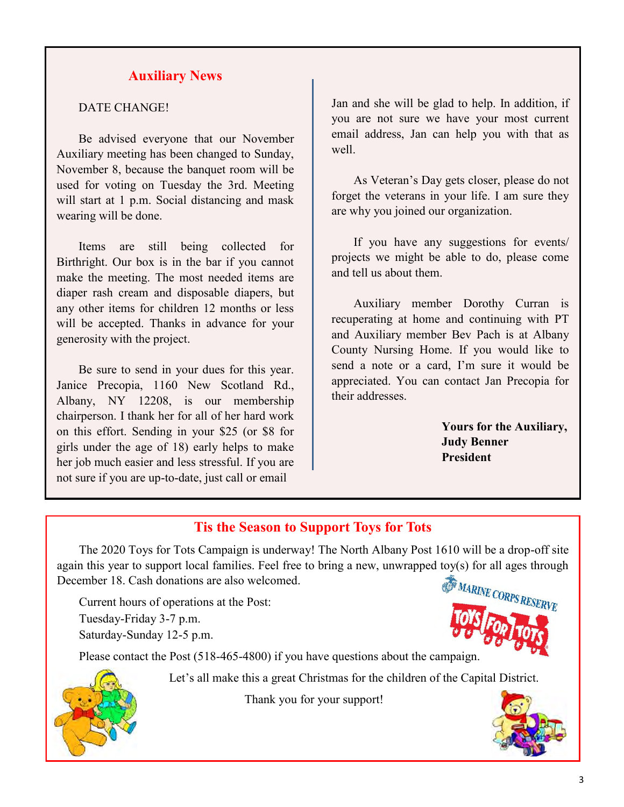# **Auxiliary News**

### DATE CHANGE!

Be advised everyone that our November Auxiliary meeting has been changed to Sunday, November 8, because the banquet room will be used for voting on Tuesday the 3rd. Meeting will start at 1 p.m. Social distancing and mask wearing will be done.

Items are still being collected for Birthright. Our box is in the bar if you cannot make the meeting. The most needed items are diaper rash cream and disposable diapers, but any other items for children 12 months or less will be accepted. Thanks in advance for your generosity with the project.

Be sure to send in your dues for this year. Janice Precopia, 1160 New Scotland Rd., Albany, NY 12208, is our membership chairperson. I thank her for all of her hard work on this effort. Sending in your \$25 (or \$8 for girls under the age of 18) early helps to make her job much easier and less stressful. If you are not sure if you are up-to-date, just call or email

Jan and she will be glad to help. In addition, if you are not sure we have your most current email address, Jan can help you with that as well.

As Veteran's Day gets closer, please do not forget the veterans in your life. I am sure they are why you joined our organization.

If you have any suggestions for events/ projects we might be able to do, please come and tell us about them.

Auxiliary member Dorothy Curran is recuperating at home and continuing with PT and Auxiliary member Bev Pach is at Albany County Nursing Home. If you would like to send a note or a card, I'm sure it would be appreciated. You can contact Jan Precopia for their addresses.

> **Yours for the Auxiliary, Judy Benner President**

# **Tis the Season to Support Toys for Tots**

The 2020 Toys for Tots Campaign is underway! The North Albany Post 1610 will be a drop-off site again this year to support local families. Feel free to bring a new, unwrapped toy(s) for all ages through December 18. Cash donations are also welcomed.

Current hours of operations at the Post: Tuesday-Friday 3-7 p.m.

Saturday-Sunday 12-5 p.m.

Please contact the Post (518-465-4800) if you have questions about the campaign.





Let's all make this a great Christmas for the children of the Capital District.

Thank you for your support!